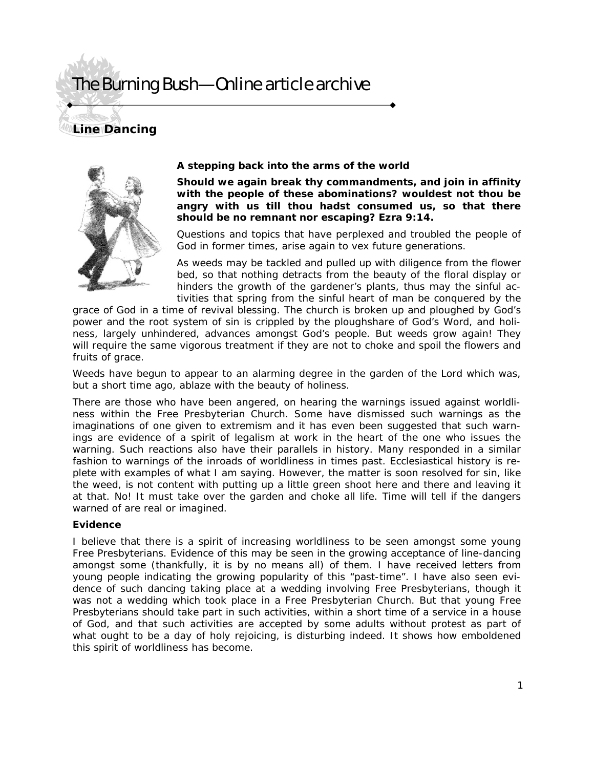## The Burning Bush—Online article archive

### **Line Dancing**



### **A stepping back into the arms of the world**

*Should we again break thy commandments, and join in affinity with the people of these abominations? wouldest not thou be angry with us till thou hadst consumed us, so that there should be no remnant nor escaping?* **Ezra 9:14.** 

Questions and topics that have perplexed and troubled the people of God in former times, arise again to vex future generations.

As weeds may be tackled and pulled up with diligence from the flower bed, so that nothing detracts from the beauty of the floral display or hinders the growth of the gardener's plants, thus may the sinful activities that spring from the sinful heart of man be conquered by the

grace of God in a time of revival blessing. The church is broken up and ploughed by God's power and the root system of sin is crippled by the ploughshare of God's Word, and holiness, largely unhindered, advances amongst God's people. But weeds grow again! They will require the same vigorous treatment if they are not to choke and spoil the flowers and fruits of grace.

Weeds have begun to appear to an alarming degree in the garden of the Lord which was, but a short time ago, ablaze with the beauty of holiness.

There are those who have been angered, on hearing the warnings issued against worldliness within the Free Presbyterian Church. Some have dismissed such warnings as the imaginations of one given to extremism and it has even been suggested that such warnings are evidence of a spirit of legalism at work in the heart of the one who issues the warning. Such reactions also have their parallels in history. Many responded in a similar fashion to warnings of the inroads of worldliness in times past. Ecclesiastical history is replete with examples of what I am saying. However, the matter is soon resolved for sin, like the weed, is not content with putting up a little green shoot here and there and leaving it at that. No! It must take over the garden and choke all life. Time will tell if the dangers warned of are real or imagined.

#### **Evidence**

I believe that there is a spirit of increasing worldliness to be seen amongst some young Free Presbyterians. Evidence of this may be seen in the growing acceptance of line-dancing amongst some (thankfully, it is by no means all) of them. I have received letters from young people indicating the growing popularity of this "past-time". I have also seen evidence of such dancing taking place at a wedding involving Free Presbyterians, though it was not a wedding which took place in a Free Presbyterian Church. But that young Free Presbyterians should take part in such activities, within a short time of a service in a house of God, and that such activities are accepted by some adults without protest as part of what ought to be a day of holy rejoicing, is disturbing indeed. It shows how emboldened this spirit of worldliness has become.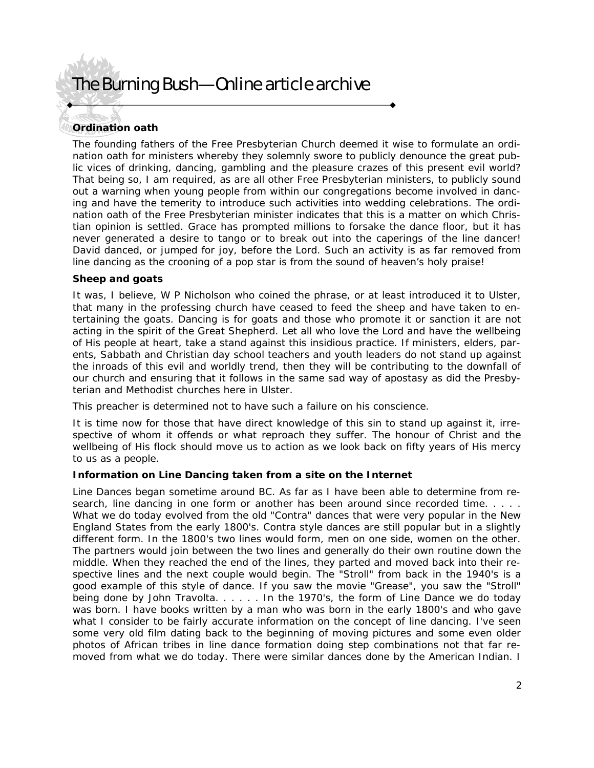# The Burning Bush—Online article archive

### **Ordination oath**

The founding fathers of the Free Presbyterian Church deemed it wise to formulate an ordination oath for ministers whereby they solemnly swore to publicly denounce the great public vices of drinking, dancing, gambling and the pleasure crazes of this present evil world? That being so, I am required, as are all other Free Presbyterian ministers, to publicly sound out a warning when young people from within our congregations become involved in dancing and have the temerity to introduce such activities into wedding celebrations. The ordination oath of the Free Presbyterian minister indicates that this is a matter on which Christian opinion is settled. Grace has prompted millions to forsake the dance floor, but it has never generated a desire to tango or to break out into the caperings of the line dancer! David danced, or jumped for joy, before the Lord. Such an activity is as far removed from line dancing as the crooning of a pop star is from the sound of heaven's holy praise!

#### **Sheep and goats**

It was, I believe, W P Nicholson who coined the phrase, or at least introduced it to Ulster, that many in the professing church have ceased to feed the sheep and have taken to entertaining the goats. Dancing is for goats and those who promote it or sanction it are not acting in the spirit of the Great Shepherd. Let all who love the Lord and have the wellbeing of His people at heart, take a stand against this insidious practice. If ministers, elders, parents, Sabbath and Christian day school teachers and youth leaders do not stand up against the inroads of this evil and worldly trend, then they will be contributing to the downfall of our church and ensuring that it follows in the same sad way of apostasy as did the Presbyterian and Methodist churches here in Ulster.

This preacher is determined not to have such a failure on his conscience.

It is time now for those that have direct knowledge of this sin to stand up against it, irrespective of whom it offends or what reproach they suffer. The honour of Christ and the wellbeing of His flock should move us to action as we look back on fifty years of His mercy to us as a people.

#### **Information on Line Dancing taken from a site on the Internet**

Line Dances began sometime around BC. As far as I have been able to determine from research, line dancing in one form or another has been around since recorded time. . . . . What we do today evolved from the old "Contra" dances that were very popular in the New England States from the early 1800's. Contra style dances are still popular but in a slightly different form. In the 1800's two lines would form, men on one side, women on the other. The partners would join between the two lines and generally do their own routine down the middle. When they reached the end of the lines, they parted and moved back into their respective lines and the next couple would begin. The "Stroll" from back in the 1940's is a good example of this style of dance. If you saw the movie "Grease", you saw the "Stroll" being done by John Travolta. . . . . . In the 1970's, the form of Line Dance we do today was born. I have books written by a man who was born in the early 1800's and who gave what I consider to be fairly accurate information on the concept of line dancing. I've seen some very old film dating back to the beginning of moving pictures and some even older photos of African tribes in line dance formation doing step combinations not that far removed from what we do today. There were similar dances done by the American Indian. I